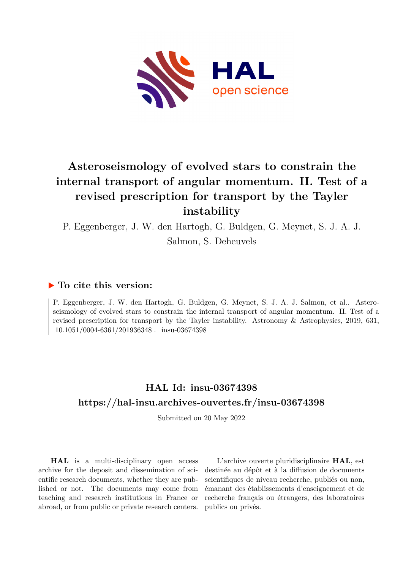

# **Asteroseismology of evolved stars to constrain the internal transport of angular momentum. II. Test of a revised prescription for transport by the Tayler instability**

P. Eggenberger, J. W. den Hartogh, G. Buldgen, G. Meynet, S. J. A. J. Salmon, S. Deheuvels

## **To cite this version:**

P. Eggenberger, J. W. den Hartogh, G. Buldgen, G. Meynet, S. J. A. J. Salmon, et al.. Asteroseismology of evolved stars to constrain the internal transport of angular momentum. II. Test of a revised prescription for transport by the Tayler instability. Astronomy & Astrophysics, 2019, 631, 10.1051/0004-6361/201936348 . insu-03674398

## **HAL Id: insu-03674398 <https://hal-insu.archives-ouvertes.fr/insu-03674398>**

Submitted on 20 May 2022

**HAL** is a multi-disciplinary open access archive for the deposit and dissemination of scientific research documents, whether they are published or not. The documents may come from teaching and research institutions in France or abroad, or from public or private research centers.

L'archive ouverte pluridisciplinaire **HAL**, est destinée au dépôt et à la diffusion de documents scientifiques de niveau recherche, publiés ou non, émanant des établissements d'enseignement et de recherche français ou étrangers, des laboratoires publics ou privés.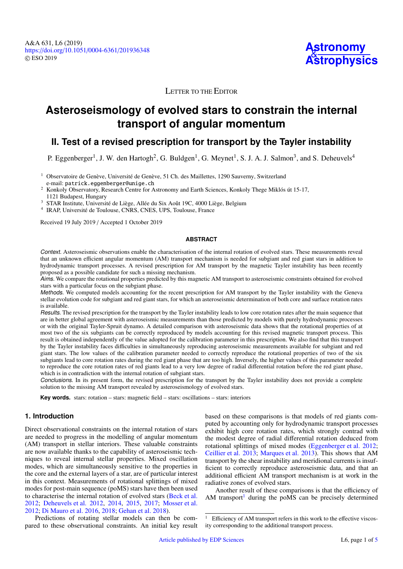

### LETTER TO THE EDITOR

## **Asteroseismology of evolved stars to constrain the internal transport of angular momentum**

### **II. Test of a revised prescription for transport by the Tayler instability**

P. Eggenberger<sup>1</sup>, J. W. den Hartogh<sup>2</sup>, G. Buldgen<sup>1</sup>, G. Meynet<sup>1</sup>, S. J. A. J. Salmon<sup>3</sup>, and S. Deheuvels<sup>4</sup>

<sup>1</sup> Observatoire de Genève, Université de Genève, 51 Ch. des Maillettes, 1290 Sauverny, Switzerland e-mail: patrick.eggenberger@unige.ch

<sup>2</sup> Konkoly Observatory, Research Centre for Astronomy and Earth Sciences, Konkoly Thege Miklós út 15-17, 1121 Budapest, Hungary

<sup>3</sup> STAR Institute, Université de Liège, Allée du Six Août 19C, 4000 Liège, Belgium

4 IRAP, Université de Toulouse, CNRS, CNES, UPS, Toulouse, France

Received 19 July 2019 / Accepted 1 October 2019

#### **ABSTRACT**

Context. Asteroseismic observations enable the characterisation of the internal rotation of evolved stars. These measurements reveal that an unknown efficient angular momentum (AM) transport mechanism is needed for subgiant and red giant stars in addition to hydrodynamic transport processes. A revised prescription for AM transport by the magnetic Tayler instability has been recently proposed as a possible candidate for such a missing mechanism.

Aims. We compare the rotational properties predicted by this magnetic AM transport to asteroseismic constraints obtained for evolved stars with a particular focus on the subgiant phase.

Methods. We computed models accounting for the recent prescription for AM transport by the Tayler instability with the Geneva stellar evolution code for subgiant and red giant stars, for which an asteroseismic determination of both core and surface rotation rates is available.

Results. The revised prescription for the transport by the Tayler instability leads to low core rotation rates after the main sequence that are in better global agreement with asteroseismic measurements than those predicted by models with purely hydrodynamic processes or with the original Tayler-Spruit dynamo. A detailed comparison with asteroseismic data shows that the rotational properties of at most two of the six subgiants can be correctly reproduced by models accounting for this revised magnetic transport process. This result is obtained independently of the value adopted for the calibration parameter in this prescription. We also find that this transport by the Tayler instability faces difficulties in simultaneously reproducing asteroseismic measurements available for subgiant and red giant stars. The low values of the calibration parameter needed to correctly reproduce the rotational properties of two of the six subgiants lead to core rotation rates during the red giant phase that are too high. Inversely, the higher values of this parameter needed to reproduce the core rotation rates of red giants lead to a very low degree of radial differential rotation before the red giant phase, which is in contradiction with the internal rotation of subgiant stars.

Conclusions. In its present form, the revised prescription for the transport by the Tayler instability does not provide a complete solution to the missing AM transport revealed by asteroseismology of evolved stars.

**Key words.** stars: rotation – stars: magnetic field – stars: oscillations – stars: interiors

#### **1. Introduction**

Direct observational constraints on the internal rotation of stars are needed to progress in the modelling of angular momentum (AM) transport in stellar interiors. These valuable constraints are now available thanks to the capability of asteroseismic techniques to reveal internal stellar properties. Mixed oscillation modes, which are simultaneously sensitive to the properties in the core and the external layers of a star, are of particular interest in this context. Measurements of rotational splittings of mixed modes for post-main sequence (poMS) stars have then been used to characterise the internal rotation of evolved stars (Beck et al. 2012; Deheuvels et al. 2012, 2014, 2015, 2017; Mosser et al. 2012; Di Mauro et al. 2016, 2018; Gehan et al. 2018).

Predictions of rotating stellar models can then be compared to these observational constraints. An initial key result

based on these comparisons is that models of red giants computed by accounting only for hydrodynamic transport processes exhibit high core rotation rates, which strongly contrad with the modest degree of radial differential rotation deduced from rotational splittings of mixed modes (Eggenberger et al. 2012; Ceillier et al. 2013; Marques et al. 2013). This shows that AM transport by the shear instability and meridional currents is insufficient to correctly reproduce asteroseismic data, and that an additional efficient AM transport mechanism is at work in the radiative zones of evolved stars.

Another result of these comparisons is that the efficiency of AM transport<sup>1</sup> during the poMS can be precisely determined

Efficiency of AM transport refers in this work to the effective viscosity corresponding to the additional transport process.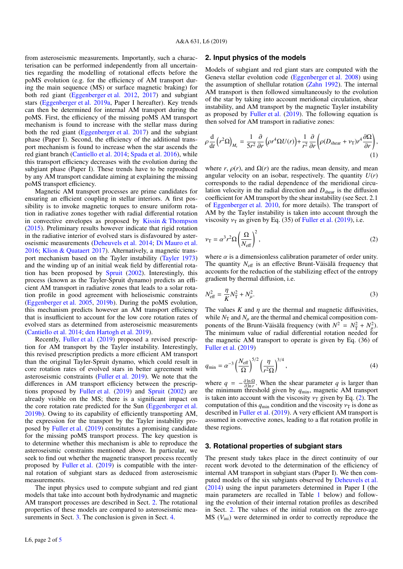from asteroseismic measurements. Importantly, such a characterisation can be performed independently from all uncertainties regarding the modelling of rotational effects before the poMS evolution (e.g. for the efficiency of AM transport during the main sequence (MS) or surface magnetic braking) for both red giant (Eggenberger et al. 2012, 2017) and subgiant stars (Eggenberger et al. 2019a, Paper I hereafter). Key trends can then be determined for internal AM transport during the poMS. First, the efficiency of the missing poMS AM transport mechanism is found to increase with the stellar mass during both the red giant (Eggenberger et al. 2017) and the subgiant phase (Paper I). Second, the efficiency of the additional transport mechanism is found to increase when the star ascends the red giant branch (Cantiello et al. 2014; Spada et al. 2016), while this transport efficiency decreases with the evolution during the subgiant phase (Paper I). These trends have to be reproduced by any AM transport candidate aiming at explaining the missing poMS transport efficiency.

Magnetic AM transport processes are prime candidates for ensuring an efficient coupling in stellar interiors. A first possibility is to invoke magnetic torques to ensure uniform rotation in radiative zones together with radial differential rotation in convective envelopes as proposed by Kissin & Thompson (2015). Preliminary results however indicate that rigid rotation in the radiative interior of evolved stars is disfavoured by asteroseismic measurements (Deheuvels et al. 2014; Di Mauro et al. 2016; Klion & Quataert 2017). Alternatively, a magnetic transport mechanism based on the Tayler instability (Tayler 1973) and the winding up of an initial weak field by differential rotation has been proposed by Spruit (2002). Interestingly, this process (known as the Tayler-Spruit dynamo) predicts an efficient AM transport in radiative zones that leads to a solar rotation profile in good agreement with helioseismic constraints (Eggenberger et al. 2005, 2019b). During the poMS evolution, this mechanism predicts however an AM transport efficiency that is insufficient to account for the low core rotation rates of evolved stars as determined from asteroseismic measurements (Cantiello et al. 2014; den Hartogh et al. 2019).

Recently, Fuller et al. (2019) proposed a revised prescription for AM transport by the Tayler instability. Interestingly, this revised prescription predicts a more efficient AM transport than the original Tayler-Spruit dynamo, which could result in core rotation rates of evolved stars in better agreement with asteroseismic constraints (Fuller et al. 2019). We note that the differences in AM transport efficiency between the prescriptions proposed by Fuller et al. (2019) and Spruit (2002) are already visible on the MS; there is a significant impact on the core rotation rate predicted for the Sun (Eggenberger et al. 2019b). Owing to its capability of efficiently transporting AM, the expression for the transport by the Tayler instability proposed by Fuller et al. (2019) constitutes a promising candidate for the missing poMS transport process. The key question is to determine whether this mechanism is able to reproduce the asteroseismic constraints mentioned above. In particular, we seek to find out whether the magnetic transport process recently proposed by Fuller et al. (2019) is compatible with the internal rotation of subgiant stars as deduced from asteroseismic measurements.

The input physics used to compute subgiant and red giant models that take into account both hydrodynamic and magnetic AM transport processes are described in Sect. 2. The rotational properties of these models are compared to asteroseismic measurements in Sect. 3. The conclusion is given in Sect. 4.

#### **2. Input physics of the models**

Models of subgiant and red giant stars are computed with the Geneva stellar evolution code (Eggenberger et al. 2008) using the assumption of shellular rotation (Zahn 1992). The internal AM transport is then followed simultaneously to the evolution of the star by taking into account meridional circulation, shear instability, and AM transport by the magnetic Tayler instability as proposed by Fuller et al. (2019). The following equation is then solved for AM transport in radiative zones:

$$
\rho \frac{\mathrm{d}}{\mathrm{d}t} (r^2 \Omega)_{M_{\rm r}} = \frac{1}{5r^2} \frac{\partial}{\partial r} \left( \rho r^4 \Omega U(r) \right) + \frac{1}{r^2} \frac{\partial}{\partial r} \left( \rho (D_{\rm shear} + \nu_{\rm T}) r^4 \frac{\partial \Omega}{\partial r} \right),\tag{1}
$$

where *r*,  $\rho(r)$ , and  $\Omega(r)$  are the radius, mean density, and mean angular velocity on an isobar, respectively. The quantity  $U(r)$ corresponds to the radial dependence of the meridional circulation velocity in the radial direction and  $D_{\text{shear}}$  is the diffusion coefficient for AM transport by the shear instability (see Sect. 2.1 of Eggenberger et al. 2010, for more details). The transport of AM by the Tayler instability is taken into account through the viscosity  $v_T$  as given by Eq. (35) of Fuller et al. (2019), i.e.

$$
v_{\rm T} = \alpha^3 r^2 \Omega \left(\frac{\Omega}{N_{\rm eff}}\right)^2,\tag{2}
$$

where  $\alpha$  is a dimensionless calibration parameter of order unity. The quantity  $N_{\text{eff}}$  is an effective Brunt-Väisälä frequency that accounts for the reduction of the stabilizing effect of the entropy gradient by thermal diffusion, i.e.

$$
N_{\text{eff}}^2 = \frac{\eta}{K} N_{\text{T}}^2 + N_{\mu}^2. \tag{3}
$$

The values  $K$  and  $\eta$  are the thermal and magnetic diffusivities, while  $N_T$  and  $N_\mu$  are the thermal and chemical composition components of the Brunt-Väisälä frequency (with  $N^2 = N_{\rm T}^2 + N_{\mu}^2$ ). The minimum value of radial differential rotation needed for the magnetic AM transport to operate is given by Eq. (36) of Fuller et al. (2019)

$$
q_{\min} = \alpha^{-3} \left(\frac{N_{\text{eff}}}{\Omega}\right)^{5/2} \left(\frac{\eta}{r^2 \Omega}\right)^{3/4},\tag{4}
$$

where  $q = -\frac{\partial \ln \Omega}{\partial \ln r}$ . When the shear parameter q is larger than where  $q = \frac{\partial \ln r}{\partial x}$ , when the shear parameter q is target than<br>the minimum threshold given by  $q_{min}$ , magnetic AM transport is taken into account with the viscosity  $v_T$  given by Eq. (2). The computation of this  $q_{\text{min}}$  condition and the viscosity  $v_T$  is done as described in Fuller et al. (2019). A very efficient AM transport is assumed in convective zones, leading to a flat rotation profile in these regions.

#### **3. Rotational properties of subgiant stars**

The present study takes place in the direct continuity of our recent work devoted to the determination of the efficiency of internal AM transport in subgiant stars (Paper I). We then computed models of the six subgiants observed by Deheuvels et al. (2014) using the input parameters determined in Paper I (the main parameters are recalled in Table 1 below) and following the evolution of their internal rotation profiles as described in Sect. 2. The values of the initial rotation on the zero-age MS (*V*ini) were determined in order to correctly reproduce the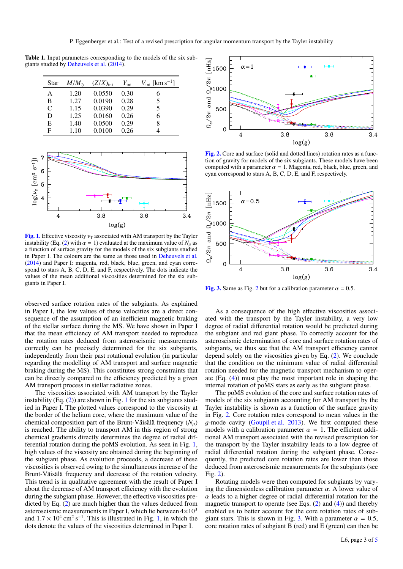Table 1. Input parameters corresponding to the models of the six subgiants studied by Deheuvels et al. (2014).

| Star | $M/M_{\odot}$ | $(Z/X)_{\text{ini}}$ | $Y_{\text{ini}}$ | $V_{\text{ini}}$ [km s <sup>-1</sup> ] |
|------|---------------|----------------------|------------------|----------------------------------------|
| A    | 1.20          | 0.0550               | 0.30             | 6                                      |
| B    | 1.27          | 0.0190               | 0.28             | 5                                      |
| C    | 1.15          | 0.0390               | 0.29             | 5                                      |
| D    | 1.25          | 0.0160               | 0.26             | 6                                      |
| E    | 1.40          | 0.0500               | 0.29             | 8                                      |
| F    | 1.10          | 0.0100               | 0.26             |                                        |



[Fig. 1.](https://dexter.edpsciences.org/applet.php?DOI=10.1051/0004-6361/201936348&pdf_id=1) Effective viscosity  $v_T$  associated with AM transport by the Tayler instability (Eq. (2) with  $\alpha = 1$ ) evaluated at the maximum value of  $N_{\alpha}$  as a function of surface gravity for the models of the six subgiants studied in Paper I. The colours are the same as those used in Deheuvels et al. (2014) and Paper I: magenta, red, black, blue, green, and cyan correspond to stars A, B, C, D, E, and F, respectively. The dots indicate the values of the mean additional viscosities determined for the six subgiants in Paper I.

observed surface rotation rates of the subgiants. As explained in Paper I, the low values of these velocities are a direct consequence of the assumption of an inefficient magnetic braking of the stellar surface during the MS. We have shown in Paper I that the mean efficiency of AM transport needed to reproduce the rotation rates deduced from asteroseismic measurements correctly can be precisely determined for the six subgiants, independently from their past rotational evolution (in particular regarding the modelling of AM transport and surface magnetic braking during the MS). This constitutes strong constraints that can be directly compared to the efficiency predicted by a given AM transport process in stellar radiative zones.

The viscosities associated with AM transport by the Tayler instability  $(Eq. (2))$  are shown in Fig. 1 for the six subgiants studied in Paper I. The plotted values correspond to the viscosity at the border of the helium core, where the maximum value of the chemical composition part of the Brunt-Väisälä frequency  $(N_u)$ is reached. The ability to transport AM in this region of strong chemical gradients directly determines the degree of radial differential rotation during the poMS evolution. As seen in Fig. 1, high values of the viscosity are obtained during the beginning of the subgiant phase. As evolution proceeds, a decrease of these viscosities is observed owing to the simultaneous increase of the Brunt-Väisälä frequency and decrease of the rotation velocity. This trend is in qualitative agreement with the result of Paper I about the decrease of AM transport efficiency with the evolution during the subgiant phase. However, the effective viscosities predicted by Eq. (2) are much higher than the values deduced from asteroseismic measurements in Paper I, which lie between  $4\times10^3$ and  $1.7 \times 10^4$  cm<sup>2</sup> s<sup>-1</sup>. This is illustrated in Fig. 1, in which the dots denote the values of the viscosities determined in Paper I dots denote the values of the viscosities determined in Paper I.



[Fig. 2.](https://dexter.edpsciences.org/applet.php?DOI=10.1051/0004-6361/201936348&pdf_id=2) Core and surface (solid and dotted lines) rotation rates as a function of gravity for models of the six subgiants. These models have been computed with a parameter  $\alpha = 1$ . Magenta, red, black, blue, green, and cyan correspond to stars A, B, C, D, E, and F, respectively.



[Fig. 3.](https://dexter.edpsciences.org/applet.php?DOI=10.1051/0004-6361/201936348&pdf_id=3) Same as Fig. 2 but for a calibration parameter  $\alpha = 0.5$ .

As a consequence of the high effective viscosities associated with the transport by the Tayler instability, a very low degree of radial differential rotation would be predicted during the subgiant and red giant phase. To correctly account for the asteroseismic determination of core and surface rotation rates of subgiants, we thus see that the AM transport efficiency cannot depend solely on the viscosities given by Eq. (2). We conclude that the condition on the minimum value of radial differential rotation needed for the magnetic transport mechanism to operate (Eq. (4)) must play the most important role in shaping the internal rotation of poMS stars as early as the subgiant phase.

The poMS evolution of the core and surface rotation rates of models of the six subgiants accounting for AM transport by the Tayler instability is shown as a function of the surface gravity in Fig. 2. Core rotation rates correspond to mean values in the g-mode cavity (Goupil et al. 2013). We first computed these models with a calibration parameter  $\alpha = 1$ . The efficient additional AM transport associated with the revised prescription for the transport by the Tayler instability leads to a low degree of radial differential rotation during the subgiant phase. Consequently, the predicted core rotation rates are lower than those deduced from asteroseismic measurements for the subgiants (see Fig. 2).

Rotating models were then computed for subgiants by varying the dimensionless calibration parameter  $\alpha$ . A lower value of  $\alpha$  leads to a higher degree of radial differential rotation for the magnetic transport to operate (see Eqs.  $(2)$  and  $(4)$ ) and thereby enabled us to better account for the core rotation rates of subgiant stars. This is shown in Fig. 3. With a parameter  $\alpha = 0.5$ , core rotation rates of subgiant B (red) and E (green) can then be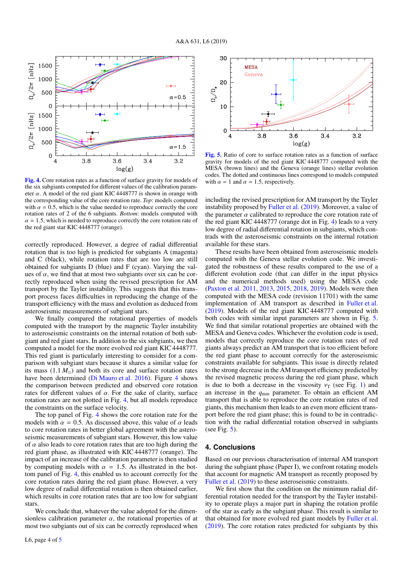

[Fig. 4.](https://dexter.edpsciences.org/applet.php?DOI=10.1051/0004-6361/201936348&pdf_id=4) Core rotation rates as a function of surface gravity for models of the six subgiants computed for different values of the calibration parameter  $\alpha$ . A model of the red giant KIC 4448777 is shown in orange with the corresponding value of the core rotation rate. *Top*: models computed with  $\alpha = 0.5$ , which is the value needed to reproduce correctly the core rotation rates of 2 of the 6 subgiants. *Bottom*: models computed with  $\alpha = 1.5$ , which is needed to reproduce correctly the core rotation rate of the red giant star KIC 4448777 (orange).

correctly reproduced. However, a degree of radial differential rotation that is too high is predicted for subgiants A (magenta) and C (black), while rotation rates that are too low are still obtained for subgiants D (blue) and F (cyan). Varying the values of  $\alpha$ , we find that at most two subgiants over six can be correctly reproduced when using the revised prescription for AM transport by the Tayler instability. This suggests that this transport process faces difficulties in reproducing the change of the transport efficiency with the mass and evolution as deduced from asteroseismic measurements of subgiant stars.

We finally compared the rotational properties of models computed with the transport by the magnetic Tayler instability to asteroseismic constraints on the internal rotation of both subgiant and red giant stars. In addition to the six subgiants, we then computed a model for the more evolved red giant KIC 4448777. This red giant is particularly interesting to consider for a comparison with subgiant stars because it shares a similar value for its mass  $(1.1 M_{\odot})$  and both its core and surface rotation rates have been determined (Di Mauro et al. 2016). Figure 4 shows the comparison between predicted and observed core rotation rates for different values of  $\alpha$ . For the sake of clarity, surface rotation rates are not plotted in Fig. 4, but all models reproduce the constraints on the surface velocity.

The top panel of Fig. 4 shows the core rotation rate for the models with  $\alpha = 0.5$ . As discussed above, this value of  $\alpha$  leads to core rotation rates in better global agreement with the asteroseismic measurements of subgiant stars. However, this low value of  $\alpha$  also leads to core rotation rates that are too high during the red giant phase, as illustrated with KIC 4448777 (orange). The impact of an increase of the calibration parameter is then studied by computing models with  $\alpha = 1.5$ . As illustrated in the bottom panel of Fig. 4, this enabled us to account correctly for the core rotation rates during the red giant phase. However, a very low degree of radial differential rotation is then obtained earlier, which results in core rotation rates that are too low for subgiant stars.

We conclude that, whatever the value adopted for the dimensionless calibration parameter  $\alpha$ , the rotational properties of at most two subgiants out of six can be correctly reproduced when



[Fig. 5.](https://dexter.edpsciences.org/applet.php?DOI=10.1051/0004-6361/201936348&pdf_id=5) Ratio of core to surface rotation rates as a function of surface gravity for models of the red giant KIC 4448777 computed with the MESA (brown lines) and the Geneva (orange lines) stellar evolution codes. The dotted and continuous lines correspond to models computed with  $\alpha = 1$  and  $\alpha = 1.5$ , respectively.

including the revised prescription for AM transport by the Tayler instability proposed by Fuller et al. (2019). Moreover, a value of the parameter  $\alpha$  calibrated to reproduce the core rotation rate of the red giant KIC 4448777 (orange dot in Fig. 4) leads to a very low degree of radial differential rotation in subgiants, which contrads with the asteroseismic constraints on the internal rotation available for these stars.

These results have been obtained from asteroseismic models computed with the Geneva stellar evolution code. We investigated the robustness of these results compared to the use of a different evolution code (that can differ in the input physics and the numerical methods used) using the MESA code (Paxton et al. 2011, 2013, 2015, 2018, 2019). Models were then computed with the MESA code (revision 11701) with the same implementation of AM transport as described in Fuller et al. (2019). Models of the red giant KIC 4448777 computed with both codes with similar input parameters are shown in Fig. 5. We find that similar rotational properties are obtained with the MESA and Geneva codes. Whichever the evolution code is used, models that correctly reproduce the core rotation rates of red giants always predict an AM transport that is too efficient before the red giant phase to account correctly for the asteroseismic constraints available for subgiants. This issue is directly related to the strong decrease in the AM transport efficiency predicted by the revised magnetic process during the red giant phase, which is due to both a decrease in the viscosity  $v_T$  (see Fig. 1) and an increase in the *q*min parameter. To obtain an efficient AM transport that is able to reproduce the core rotation rates of red giants, this mechanism then leads to an even more efficient transport before the red giant phase; this is found to be in contradiction with the radial differential rotation observed in subgiants (see Fig. 5).

#### **4. Conclusions**

Based on our previous characterisation of internal AM transport during the subgiant phase (Paper I), we confront rotating models that account for magnetic AM transport as recently proposed by Fuller et al. (2019) to these asteroseismic constraints.

We first show that the condition on the minimum radial differential rotation needed for the transport by the Tayler instability to operate plays a major part in shaping the rotation profile of the star as early as the subgiant phase. This result is similar to that obtained for more evolved red giant models by Fuller et al. (2019). The core rotation rates predicted for subgiants by this